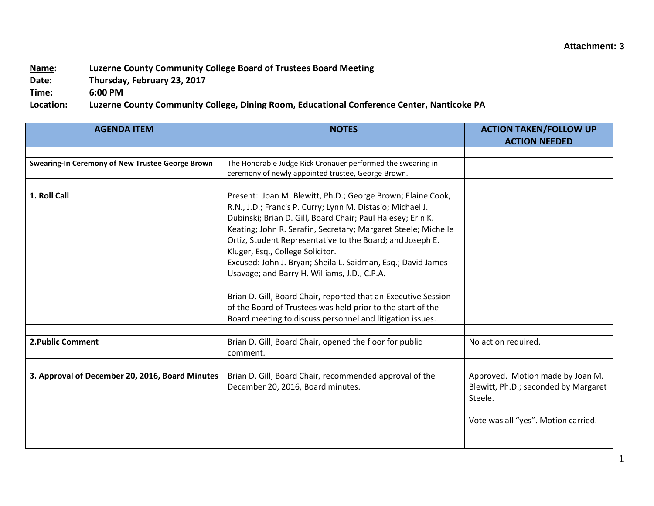## **Attachment: 3**

## **Name: Luzerne County Community College Board of Trustees Board Meeting**

**Date: Thursday, February 23, 2017**

**Time: 6:00 PM**

**Location: Luzerne County Community College, Dining Room, Educational Conference Center, Nanticoke PA**

| <b>AGENDA ITEM</b>                               | <b>NOTES</b>                                                                                                                                                                                                                                                                                                                                                                                                                | <b>ACTION TAKEN/FOLLOW UP</b><br><b>ACTION NEEDED</b>                               |
|--------------------------------------------------|-----------------------------------------------------------------------------------------------------------------------------------------------------------------------------------------------------------------------------------------------------------------------------------------------------------------------------------------------------------------------------------------------------------------------------|-------------------------------------------------------------------------------------|
|                                                  |                                                                                                                                                                                                                                                                                                                                                                                                                             |                                                                                     |
| Swearing-In Ceremony of New Trustee George Brown | The Honorable Judge Rick Cronauer performed the swearing in<br>ceremony of newly appointed trustee, George Brown.                                                                                                                                                                                                                                                                                                           |                                                                                     |
|                                                  |                                                                                                                                                                                                                                                                                                                                                                                                                             |                                                                                     |
| 1. Roll Call                                     | Present: Joan M. Blewitt, Ph.D.; George Brown; Elaine Cook,<br>R.N., J.D.; Francis P. Curry; Lynn M. Distasio; Michael J.<br>Dubinski; Brian D. Gill, Board Chair; Paul Halesey; Erin K.<br>Keating; John R. Serafin, Secretary; Margaret Steele; Michelle<br>Ortiz, Student Representative to the Board; and Joseph E.<br>Kluger, Esq., College Solicitor.<br>Excused: John J. Bryan; Sheila L. Saidman, Esq.; David James |                                                                                     |
|                                                  | Usavage; and Barry H. Williams, J.D., C.P.A.                                                                                                                                                                                                                                                                                                                                                                                |                                                                                     |
|                                                  |                                                                                                                                                                                                                                                                                                                                                                                                                             |                                                                                     |
|                                                  | Brian D. Gill, Board Chair, reported that an Executive Session<br>of the Board of Trustees was held prior to the start of the<br>Board meeting to discuss personnel and litigation issues.                                                                                                                                                                                                                                  |                                                                                     |
|                                                  |                                                                                                                                                                                                                                                                                                                                                                                                                             |                                                                                     |
| 2. Public Comment                                | Brian D. Gill, Board Chair, opened the floor for public<br>comment.                                                                                                                                                                                                                                                                                                                                                         | No action required.                                                                 |
|                                                  |                                                                                                                                                                                                                                                                                                                                                                                                                             |                                                                                     |
| 3. Approval of December 20, 2016, Board Minutes  | Brian D. Gill, Board Chair, recommended approval of the<br>December 20, 2016, Board minutes.                                                                                                                                                                                                                                                                                                                                | Approved. Motion made by Joan M.<br>Blewitt, Ph.D.; seconded by Margaret<br>Steele. |
|                                                  |                                                                                                                                                                                                                                                                                                                                                                                                                             | Vote was all "yes". Motion carried.                                                 |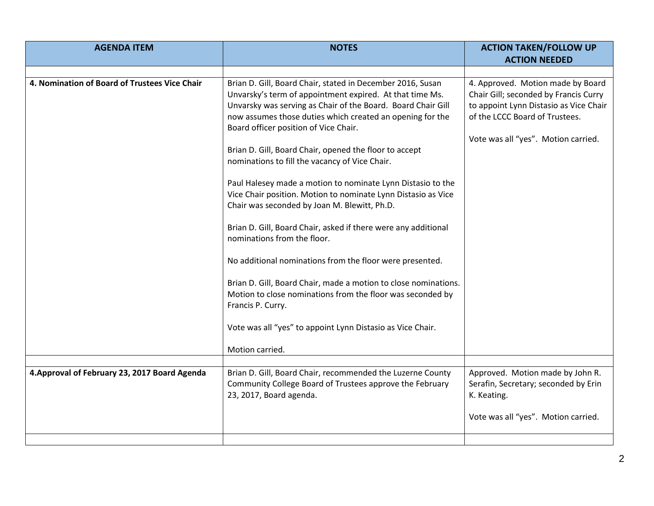| <b>AGENDA ITEM</b>                            | <b>NOTES</b>                                                                                                                                                                                                                                                                                 | <b>ACTION TAKEN/FOLLOW UP</b>                                                                                                                                                                 |
|-----------------------------------------------|----------------------------------------------------------------------------------------------------------------------------------------------------------------------------------------------------------------------------------------------------------------------------------------------|-----------------------------------------------------------------------------------------------------------------------------------------------------------------------------------------------|
|                                               |                                                                                                                                                                                                                                                                                              | <b>ACTION NEEDED</b>                                                                                                                                                                          |
|                                               |                                                                                                                                                                                                                                                                                              |                                                                                                                                                                                               |
| 4. Nomination of Board of Trustees Vice Chair | Brian D. Gill, Board Chair, stated in December 2016, Susan<br>Unvarsky's term of appointment expired. At that time Ms.<br>Unvarsky was serving as Chair of the Board. Board Chair Gill<br>now assumes those duties which created an opening for the<br>Board officer position of Vice Chair. | 4. Approved. Motion made by Board<br>Chair Gill; seconded by Francis Curry<br>to appoint Lynn Distasio as Vice Chair<br>of the LCCC Board of Trustees.<br>Vote was all "yes". Motion carried. |
|                                               | Brian D. Gill, Board Chair, opened the floor to accept<br>nominations to fill the vacancy of Vice Chair.                                                                                                                                                                                     |                                                                                                                                                                                               |
|                                               | Paul Halesey made a motion to nominate Lynn Distasio to the<br>Vice Chair position. Motion to nominate Lynn Distasio as Vice<br>Chair was seconded by Joan M. Blewitt, Ph.D.                                                                                                                 |                                                                                                                                                                                               |
|                                               | Brian D. Gill, Board Chair, asked if there were any additional<br>nominations from the floor.                                                                                                                                                                                                |                                                                                                                                                                                               |
|                                               | No additional nominations from the floor were presented.                                                                                                                                                                                                                                     |                                                                                                                                                                                               |
|                                               | Brian D. Gill, Board Chair, made a motion to close nominations.<br>Motion to close nominations from the floor was seconded by<br>Francis P. Curry.                                                                                                                                           |                                                                                                                                                                                               |
|                                               | Vote was all "yes" to appoint Lynn Distasio as Vice Chair.                                                                                                                                                                                                                                   |                                                                                                                                                                                               |
|                                               | Motion carried.                                                                                                                                                                                                                                                                              |                                                                                                                                                                                               |
| 4. Approval of February 23, 2017 Board Agenda | Brian D. Gill, Board Chair, recommended the Luzerne County                                                                                                                                                                                                                                   | Approved. Motion made by John R.                                                                                                                                                              |
|                                               | Community College Board of Trustees approve the February<br>23, 2017, Board agenda.                                                                                                                                                                                                          | Serafin, Secretary; seconded by Erin<br>K. Keating.                                                                                                                                           |
|                                               |                                                                                                                                                                                                                                                                                              | Vote was all "yes". Motion carried.                                                                                                                                                           |
|                                               |                                                                                                                                                                                                                                                                                              |                                                                                                                                                                                               |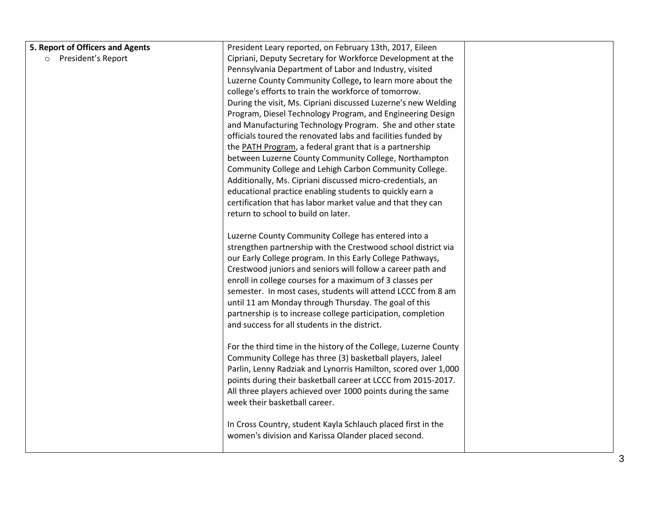| 5. Report of Officers and Agents | President Leary reported, on February 13th, 2017, Eileen                                                      |  |
|----------------------------------|---------------------------------------------------------------------------------------------------------------|--|
| o President's Report             | Cipriani, Deputy Secretary for Workforce Development at the                                                   |  |
|                                  | Pennsylvania Department of Labor and Industry, visited                                                        |  |
|                                  | Luzerne County Community College, to learn more about the                                                     |  |
|                                  | college's efforts to train the workforce of tomorrow.                                                         |  |
|                                  | During the visit, Ms. Cipriani discussed Luzerne's new Welding                                                |  |
|                                  | Program, Diesel Technology Program, and Engineering Design                                                    |  |
|                                  | and Manufacturing Technology Program. She and other state                                                     |  |
|                                  | officials toured the renovated labs and facilities funded by                                                  |  |
|                                  | the PATH Program, a federal grant that is a partnership                                                       |  |
|                                  | between Luzerne County Community College, Northampton                                                         |  |
|                                  | Community College and Lehigh Carbon Community College.                                                        |  |
|                                  | Additionally, Ms. Cipriani discussed micro-credentials, an                                                    |  |
|                                  | educational practice enabling students to quickly earn a                                                      |  |
|                                  | certification that has labor market value and that they can                                                   |  |
|                                  | return to school to build on later.                                                                           |  |
|                                  |                                                                                                               |  |
|                                  | Luzerne County Community College has entered into a                                                           |  |
|                                  | strengthen partnership with the Crestwood school district via                                                 |  |
|                                  | our Early College program. In this Early College Pathways,                                                    |  |
|                                  | Crestwood juniors and seniors will follow a career path and                                                   |  |
|                                  | enroll in college courses for a maximum of 3 classes per                                                      |  |
|                                  | semester. In most cases, students will attend LCCC from 8 am                                                  |  |
|                                  | until 11 am Monday through Thursday. The goal of this                                                         |  |
|                                  | partnership is to increase college participation, completion<br>and success for all students in the district. |  |
|                                  |                                                                                                               |  |
|                                  | For the third time in the history of the College, Luzerne County                                              |  |
|                                  | Community College has three (3) basketball players, Jaleel                                                    |  |
|                                  | Parlin, Lenny Radziak and Lynorris Hamilton, scored over 1,000                                                |  |
|                                  | points during their basketball career at LCCC from 2015-2017.                                                 |  |
|                                  | All three players achieved over 1000 points during the same                                                   |  |
|                                  | week their basketball career.                                                                                 |  |
|                                  |                                                                                                               |  |
|                                  | In Cross Country, student Kayla Schlauch placed first in the                                                  |  |
|                                  | women's division and Karissa Olander placed second.                                                           |  |
|                                  |                                                                                                               |  |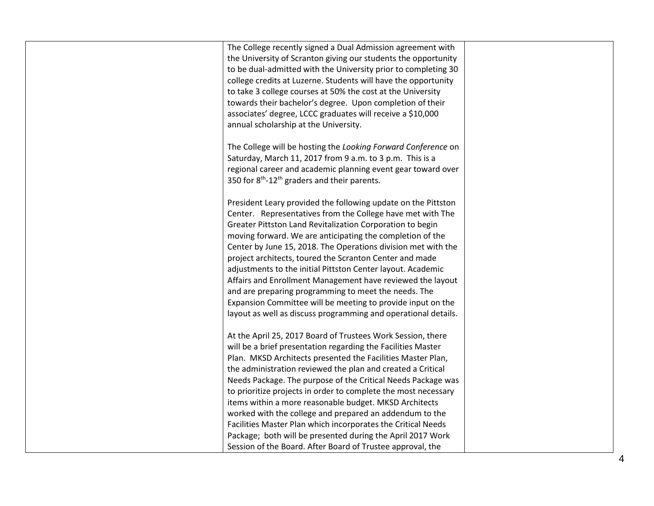| The College recently signed a Dual Admission agreement with          |  |
|----------------------------------------------------------------------|--|
| the University of Scranton giving our students the opportunity       |  |
| to be dual-admitted with the University prior to completing 30       |  |
| college credits at Luzerne. Students will have the opportunity       |  |
| to take 3 college courses at 50% the cost at the University          |  |
| towards their bachelor's degree. Upon completion of their            |  |
| associates' degree, LCCC graduates will receive a \$10,000           |  |
| annual scholarship at the University.                                |  |
|                                                                      |  |
| The College will be hosting the Looking Forward Conference on        |  |
| Saturday, March 11, 2017 from 9 a.m. to 3 p.m. This is a             |  |
| regional career and academic planning event gear toward over         |  |
| 350 for 8 <sup>th</sup> -12 <sup>th</sup> graders and their parents. |  |
|                                                                      |  |
| President Leary provided the following update on the Pittston        |  |
| Center. Representatives from the College have met with The           |  |
| Greater Pittston Land Revitalization Corporation to begin            |  |
| moving forward. We are anticipating the completion of the            |  |
| Center by June 15, 2018. The Operations division met with the        |  |
| project architects, toured the Scranton Center and made              |  |
| adjustments to the initial Pittston Center layout. Academic          |  |
| Affairs and Enrollment Management have reviewed the layout           |  |
| and are preparing programming to meet the needs. The                 |  |
| Expansion Committee will be meeting to provide input on the          |  |
| layout as well as discuss programming and operational details.       |  |
|                                                                      |  |
| At the April 25, 2017 Board of Trustees Work Session, there          |  |
| will be a brief presentation regarding the Facilities Master         |  |
| Plan. MKSD Architects presented the Facilities Master Plan,          |  |
| the administration reviewed the plan and created a Critical          |  |
| Needs Package. The purpose of the Critical Needs Package was         |  |
| to prioritize projects in order to complete the most necessary       |  |
| items within a more reasonable budget. MKSD Architects               |  |
| worked with the college and prepared an addendum to the              |  |
| Facilities Master Plan which incorporates the Critical Needs         |  |
| Package; both will be presented during the April 2017 Work           |  |
| Session of the Board. After Board of Trustee approval, the           |  |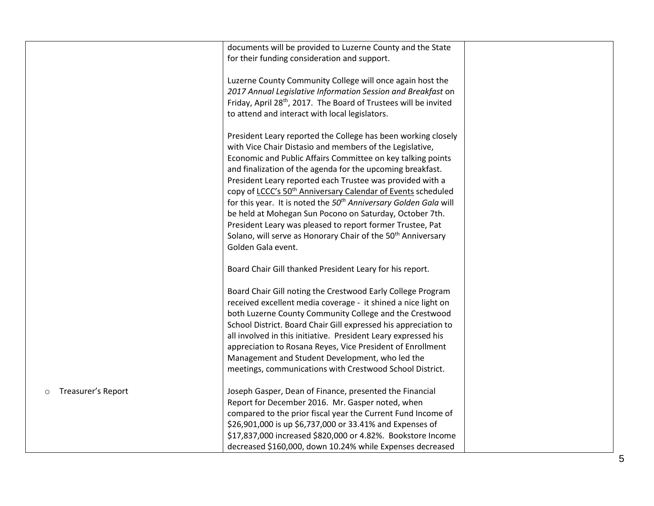|                    | documents will be provided to Luzerne County and the State<br>for their funding consideration and support.<br>Luzerne County Community College will once again host the<br>2017 Annual Legislative Information Session and Breakfast on<br>Friday, April 28 <sup>th</sup> , 2017. The Board of Trustees will be invited<br>to attend and interact with local legislators.<br>President Leary reported the College has been working closely<br>with Vice Chair Distasio and members of the Legislative,<br>Economic and Public Affairs Committee on key talking points<br>and finalization of the agenda for the upcoming breakfast.<br>President Leary reported each Trustee was provided with a<br>copy of LCCC's 50 <sup>th</sup> Anniversary Calendar of Events scheduled<br>for this year. It is noted the 50 <sup>th</sup> Anniversary Golden Gala will<br>be held at Mohegan Sun Pocono on Saturday, October 7th.<br>President Leary was pleased to report former Trustee, Pat<br>Solano, will serve as Honorary Chair of the 50 <sup>th</sup> Anniversary<br>Golden Gala event. |  |
|--------------------|----------------------------------------------------------------------------------------------------------------------------------------------------------------------------------------------------------------------------------------------------------------------------------------------------------------------------------------------------------------------------------------------------------------------------------------------------------------------------------------------------------------------------------------------------------------------------------------------------------------------------------------------------------------------------------------------------------------------------------------------------------------------------------------------------------------------------------------------------------------------------------------------------------------------------------------------------------------------------------------------------------------------------------------------------------------------------------------|--|
| Treasurer's Report | Board Chair Gill thanked President Leary for his report.<br>Board Chair Gill noting the Crestwood Early College Program<br>received excellent media coverage - it shined a nice light on<br>both Luzerne County Community College and the Crestwood<br>School District. Board Chair Gill expressed his appreciation to<br>all involved in this initiative. President Leary expressed his<br>appreciation to Rosana Reyes, Vice President of Enrollment<br>Management and Student Development, who led the<br>meetings, communications with Crestwood School District.<br>Joseph Gasper, Dean of Finance, presented the Financial<br>Report for December 2016. Mr. Gasper noted, when<br>compared to the prior fiscal year the Current Fund Income of<br>\$26,901,000 is up \$6,737,000 or 33.41% and Expenses of<br>\$17,837,000 increased \$820,000 or 4.82%. Bookstore Income<br>decreased \$160,000, down 10.24% while Expenses decreased                                                                                                                                           |  |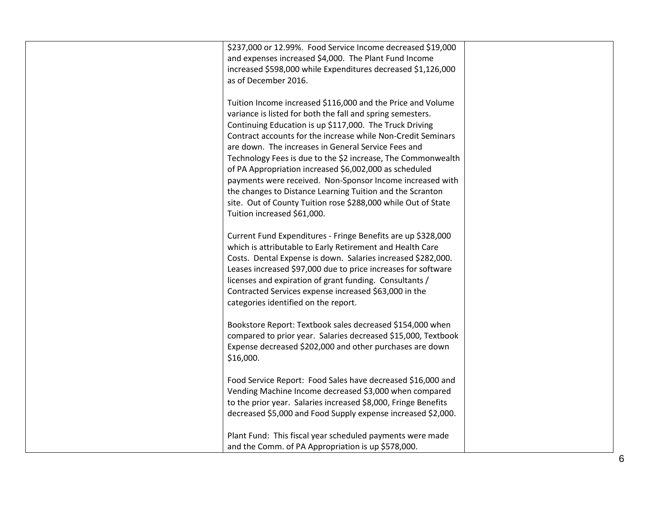| \$237,000 or 12.99%. Food Service Income decreased \$19,000    |  |
|----------------------------------------------------------------|--|
| and expenses increased \$4,000. The Plant Fund Income          |  |
| increased \$598,000 while Expenditures decreased \$1,126,000   |  |
| as of December 2016.                                           |  |
|                                                                |  |
| Tuition Income increased \$116,000 and the Price and Volume    |  |
| variance is listed for both the fall and spring semesters.     |  |
| Continuing Education is up \$117,000. The Truck Driving        |  |
| Contract accounts for the increase while Non-Credit Seminars   |  |
| are down. The increases in General Service Fees and            |  |
| Technology Fees is due to the \$2 increase, The Commonwealth   |  |
| of PA Appropriation increased \$6,002,000 as scheduled         |  |
| payments were received. Non-Sponsor Income increased with      |  |
| the changes to Distance Learning Tuition and the Scranton      |  |
| site. Out of County Tuition rose \$288,000 while Out of State  |  |
| Tuition increased \$61,000.                                    |  |
|                                                                |  |
|                                                                |  |
| Current Fund Expenditures - Fringe Benefits are up \$328,000   |  |
| which is attributable to Early Retirement and Health Care      |  |
| Costs. Dental Expense is down. Salaries increased \$282,000.   |  |
| Leases increased \$97,000 due to price increases for software  |  |
| licenses and expiration of grant funding. Consultants /        |  |
| Contracted Services expense increased \$63,000 in the          |  |
| categories identified on the report.                           |  |
|                                                                |  |
| Bookstore Report: Textbook sales decreased \$154,000 when      |  |
| compared to prior year. Salaries decreased \$15,000, Textbook  |  |
| Expense decreased \$202,000 and other purchases are down       |  |
| \$16,000.                                                      |  |
|                                                                |  |
| Food Service Report: Food Sales have decreased \$16,000 and    |  |
| Vending Machine Income decreased \$3,000 when compared         |  |
| to the prior year. Salaries increased \$8,000, Fringe Benefits |  |
| decreased \$5,000 and Food Supply expense increased \$2,000.   |  |
|                                                                |  |
| Plant Fund: This fiscal year scheduled payments were made      |  |
| and the Comm. of PA Appropriation is up \$578,000.             |  |
|                                                                |  |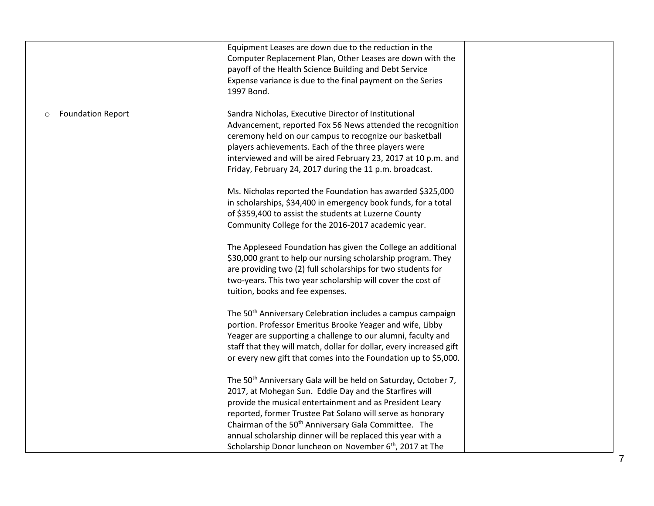|                          | Equipment Leases are down due to the reduction in the<br>Computer Replacement Plan, Other Leases are down with the<br>payoff of the Health Science Building and Debt Service<br>Expense variance is due to the final payment on the Series<br>1997 Bond.                                                                                                                                                                                                                  |  |
|--------------------------|---------------------------------------------------------------------------------------------------------------------------------------------------------------------------------------------------------------------------------------------------------------------------------------------------------------------------------------------------------------------------------------------------------------------------------------------------------------------------|--|
| <b>Foundation Report</b> | Sandra Nicholas, Executive Director of Institutional<br>Advancement, reported Fox 56 News attended the recognition<br>ceremony held on our campus to recognize our basketball<br>players achievements. Each of the three players were<br>interviewed and will be aired February 23, 2017 at 10 p.m. and<br>Friday, February 24, 2017 during the 11 p.m. broadcast.                                                                                                        |  |
|                          | Ms. Nicholas reported the Foundation has awarded \$325,000<br>in scholarships, \$34,400 in emergency book funds, for a total<br>of \$359,400 to assist the students at Luzerne County<br>Community College for the 2016-2017 academic year.                                                                                                                                                                                                                               |  |
|                          | The Appleseed Foundation has given the College an additional<br>\$30,000 grant to help our nursing scholarship program. They<br>are providing two (2) full scholarships for two students for<br>two-years. This two year scholarship will cover the cost of<br>tuition, books and fee expenses.                                                                                                                                                                           |  |
|                          | The 50 <sup>th</sup> Anniversary Celebration includes a campus campaign<br>portion. Professor Emeritus Brooke Yeager and wife, Libby<br>Yeager are supporting a challenge to our alumni, faculty and<br>staff that they will match, dollar for dollar, every increased gift<br>or every new gift that comes into the Foundation up to \$5,000.                                                                                                                            |  |
|                          | The 50 <sup>th</sup> Anniversary Gala will be held on Saturday, October 7,<br>2017, at Mohegan Sun. Eddie Day and the Starfires will<br>provide the musical entertainment and as President Leary<br>reported, former Trustee Pat Solano will serve as honorary<br>Chairman of the 50 <sup>th</sup> Anniversary Gala Committee. The<br>annual scholarship dinner will be replaced this year with a<br>Scholarship Donor luncheon on November 6 <sup>th</sup> , 2017 at The |  |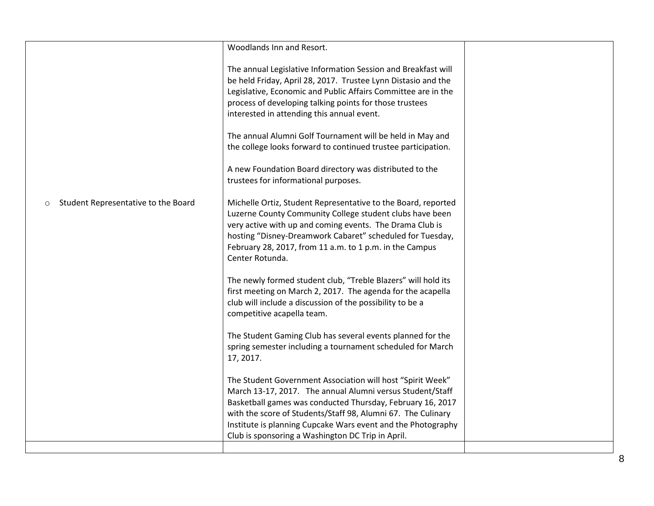|                                                | Woodlands Inn and Resort.                                                                                                                                                                                                                                                                                                                                                  |  |
|------------------------------------------------|----------------------------------------------------------------------------------------------------------------------------------------------------------------------------------------------------------------------------------------------------------------------------------------------------------------------------------------------------------------------------|--|
|                                                | The annual Legislative Information Session and Breakfast will<br>be held Friday, April 28, 2017. Trustee Lynn Distasio and the<br>Legislative, Economic and Public Affairs Committee are in the<br>process of developing talking points for those trustees<br>interested in attending this annual event.                                                                   |  |
|                                                | The annual Alumni Golf Tournament will be held in May and<br>the college looks forward to continued trustee participation.                                                                                                                                                                                                                                                 |  |
|                                                | A new Foundation Board directory was distributed to the<br>trustees for informational purposes.                                                                                                                                                                                                                                                                            |  |
| Student Representative to the Board<br>$\circ$ | Michelle Ortiz, Student Representative to the Board, reported<br>Luzerne County Community College student clubs have been<br>very active with up and coming events. The Drama Club is<br>hosting "Disney-Dreamwork Cabaret" scheduled for Tuesday,<br>February 28, 2017, from 11 a.m. to 1 p.m. in the Campus<br>Center Rotunda.                                           |  |
|                                                | The newly formed student club, "Treble Blazers" will hold its<br>first meeting on March 2, 2017. The agenda for the acapella<br>club will include a discussion of the possibility to be a<br>competitive acapella team.                                                                                                                                                    |  |
|                                                | The Student Gaming Club has several events planned for the<br>spring semester including a tournament scheduled for March<br>17, 2017.                                                                                                                                                                                                                                      |  |
|                                                | The Student Government Association will host "Spirit Week"<br>March 13-17, 2017. The annual Alumni versus Student/Staff<br>Basketball games was conducted Thursday, February 16, 2017<br>with the score of Students/Staff 98, Alumni 67. The Culinary<br>Institute is planning Cupcake Wars event and the Photography<br>Club is sponsoring a Washington DC Trip in April. |  |
|                                                |                                                                                                                                                                                                                                                                                                                                                                            |  |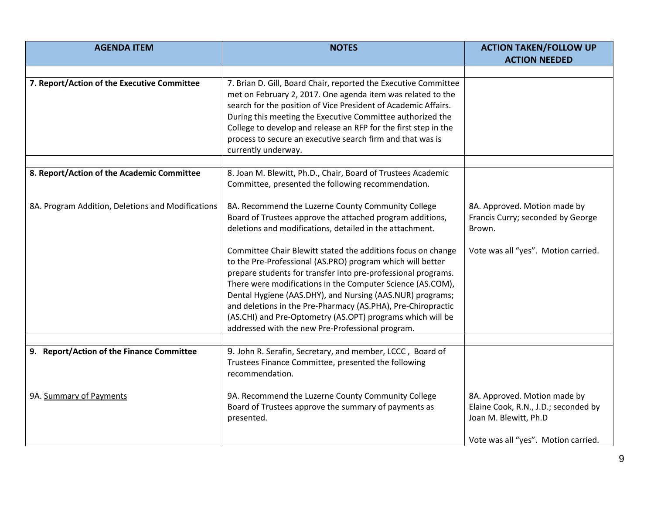| <b>AGENDA ITEM</b>                                | <b>NOTES</b>                                                                                                                  | <b>ACTION TAKEN/FOLLOW UP</b>        |
|---------------------------------------------------|-------------------------------------------------------------------------------------------------------------------------------|--------------------------------------|
|                                                   |                                                                                                                               | <b>ACTION NEEDED</b>                 |
|                                                   |                                                                                                                               |                                      |
| 7. Report/Action of the Executive Committee       | 7. Brian D. Gill, Board Chair, reported the Executive Committee                                                               |                                      |
|                                                   | met on February 2, 2017. One agenda item was related to the                                                                   |                                      |
|                                                   | search for the position of Vice President of Academic Affairs.                                                                |                                      |
|                                                   | During this meeting the Executive Committee authorized the<br>College to develop and release an RFP for the first step in the |                                      |
|                                                   | process to secure an executive search firm and that was is                                                                    |                                      |
|                                                   | currently underway.                                                                                                           |                                      |
|                                                   |                                                                                                                               |                                      |
| 8. Report/Action of the Academic Committee        | 8. Joan M. Blewitt, Ph.D., Chair, Board of Trustees Academic                                                                  |                                      |
|                                                   | Committee, presented the following recommendation.                                                                            |                                      |
| 8A. Program Addition, Deletions and Modifications | 8A. Recommend the Luzerne County Community College                                                                            | 8A. Approved. Motion made by         |
|                                                   | Board of Trustees approve the attached program additions,                                                                     | Francis Curry; seconded by George    |
|                                                   | deletions and modifications, detailed in the attachment.                                                                      | Brown.                               |
|                                                   | Committee Chair Blewitt stated the additions focus on change                                                                  | Vote was all "yes". Motion carried.  |
|                                                   | to the Pre-Professional (AS.PRO) program which will better                                                                    |                                      |
|                                                   | prepare students for transfer into pre-professional programs.                                                                 |                                      |
|                                                   | There were modifications in the Computer Science (AS.COM),                                                                    |                                      |
|                                                   | Dental Hygiene (AAS.DHY), and Nursing (AAS.NUR) programs;                                                                     |                                      |
|                                                   | and deletions in the Pre-Pharmacy (AS.PHA), Pre-Chiropractic                                                                  |                                      |
|                                                   | (AS.CHI) and Pre-Optometry (AS.OPT) programs which will be                                                                    |                                      |
|                                                   | addressed with the new Pre-Professional program.                                                                              |                                      |
| 9. Report/Action of the Finance Committee         | 9. John R. Serafin, Secretary, and member, LCCC, Board of                                                                     |                                      |
|                                                   | Trustees Finance Committee, presented the following                                                                           |                                      |
|                                                   | recommendation.                                                                                                               |                                      |
|                                                   |                                                                                                                               |                                      |
| 9A. Summary of Payments                           | 9A. Recommend the Luzerne County Community College                                                                            | 8A. Approved. Motion made by         |
|                                                   | Board of Trustees approve the summary of payments as                                                                          | Elaine Cook, R.N., J.D.; seconded by |
|                                                   | presented.                                                                                                                    | Joan M. Blewitt, Ph.D                |
|                                                   |                                                                                                                               | Vote was all "yes". Motion carried.  |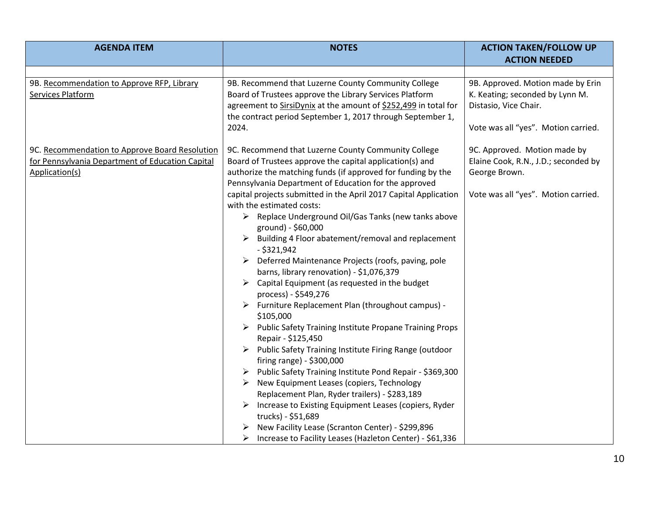| <b>AGENDA ITEM</b>                                              | <b>NOTES</b>                                                                                                          | <b>ACTION TAKEN/FOLLOW UP</b>                                        |
|-----------------------------------------------------------------|-----------------------------------------------------------------------------------------------------------------------|----------------------------------------------------------------------|
|                                                                 |                                                                                                                       | <b>ACTION NEEDED</b>                                                 |
|                                                                 |                                                                                                                       |                                                                      |
| 9B. Recommendation to Approve RFP, Library<br>Services Platform | 9B. Recommend that Luzerne County Community College<br>Board of Trustees approve the Library Services Platform        | 9B. Approved. Motion made by Erin<br>K. Keating; seconded by Lynn M. |
|                                                                 | agreement to SirsiDynix at the amount of \$252,499 in total for                                                       | Distasio, Vice Chair.                                                |
|                                                                 | the contract period September 1, 2017 through September 1,                                                            |                                                                      |
|                                                                 | 2024.                                                                                                                 | Vote was all "yes". Motion carried.                                  |
| 9C. Recommendation to Approve Board Resolution                  | 9C. Recommend that Luzerne County Community College                                                                   | 9C. Approved. Motion made by                                         |
| for Pennsylvania Department of Education Capital                | Board of Trustees approve the capital application(s) and                                                              | Elaine Cook, R.N., J.D.; seconded by                                 |
| Application(s)                                                  | authorize the matching funds (if approved for funding by the<br>Pennsylvania Department of Education for the approved | George Brown.                                                        |
|                                                                 | capital projects submitted in the April 2017 Capital Application                                                      | Vote was all "yes". Motion carried.                                  |
|                                                                 | with the estimated costs:                                                                                             |                                                                      |
|                                                                 | > Replace Underground Oil/Gas Tanks (new tanks above                                                                  |                                                                      |
|                                                                 | ground) - \$60,000                                                                                                    |                                                                      |
|                                                                 | Building 4 Floor abatement/removal and replacement<br>➤<br>$-$ \$321,942                                              |                                                                      |
|                                                                 | $\triangleright$ Deferred Maintenance Projects (roofs, paving, pole                                                   |                                                                      |
|                                                                 | barns, library renovation) - \$1,076,379                                                                              |                                                                      |
|                                                                 | $\triangleright$ Capital Equipment (as requested in the budget<br>process) - \$549,276                                |                                                                      |
|                                                                 | > Furniture Replacement Plan (throughout campus) -                                                                    |                                                                      |
|                                                                 | \$105,000                                                                                                             |                                                                      |
|                                                                 | > Public Safety Training Institute Propane Training Props                                                             |                                                                      |
|                                                                 | Repair - \$125,450                                                                                                    |                                                                      |
|                                                                 | Public Safety Training Institute Firing Range (outdoor<br>➤<br>firing range) - \$300,000                              |                                                                      |
|                                                                 | > Public Safety Training Institute Pond Repair - \$369,300                                                            |                                                                      |
|                                                                 | New Equipment Leases (copiers, Technology<br>➤                                                                        |                                                                      |
|                                                                 | Replacement Plan, Ryder trailers) - \$283,189                                                                         |                                                                      |
|                                                                 | Increase to Existing Equipment Leases (copiers, Ryder                                                                 |                                                                      |
|                                                                 | trucks) - \$51,689                                                                                                    |                                                                      |
|                                                                 | New Facility Lease (Scranton Center) - \$299,896                                                                      |                                                                      |
|                                                                 | Increase to Facility Leases (Hazleton Center) - \$61,336<br>➤                                                         |                                                                      |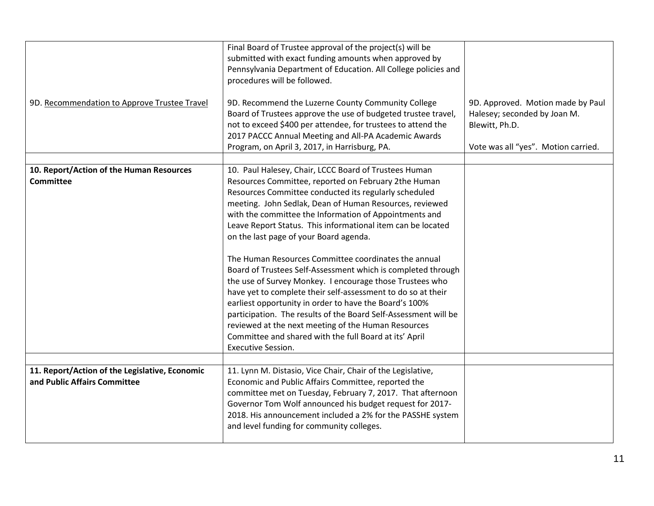| 9D. Recommendation to Approve Trustee Travel                                   | Final Board of Trustee approval of the project(s) will be<br>submitted with exact funding amounts when approved by<br>Pennsylvania Department of Education. All College policies and<br>procedures will be followed.<br>9D. Recommend the Luzerne County Community College<br>Board of Trustees approve the use of budgeted trustee travel,<br>not to exceed \$400 per attendee, for trustees to attend the<br>2017 PACCC Annual Meeting and All-PA Academic Awards<br>Program, on April 3, 2017, in Harrisburg, PA.                                                                                                                                                                                                                                                                                                                                                                                                                | 9D. Approved. Motion made by Paul<br>Halesey; seconded by Joan M.<br>Blewitt, Ph.D.<br>Vote was all "yes". Motion carried. |
|--------------------------------------------------------------------------------|-------------------------------------------------------------------------------------------------------------------------------------------------------------------------------------------------------------------------------------------------------------------------------------------------------------------------------------------------------------------------------------------------------------------------------------------------------------------------------------------------------------------------------------------------------------------------------------------------------------------------------------------------------------------------------------------------------------------------------------------------------------------------------------------------------------------------------------------------------------------------------------------------------------------------------------|----------------------------------------------------------------------------------------------------------------------------|
| 10. Report/Action of the Human Resources<br><b>Committee</b>                   | 10. Paul Halesey, Chair, LCCC Board of Trustees Human<br>Resources Committee, reported on February 2the Human<br>Resources Committee conducted its regularly scheduled<br>meeting. John Sedlak, Dean of Human Resources, reviewed<br>with the committee the Information of Appointments and<br>Leave Report Status. This informational item can be located<br>on the last page of your Board agenda.<br>The Human Resources Committee coordinates the annual<br>Board of Trustees Self-Assessment which is completed through<br>the use of Survey Monkey. I encourage those Trustees who<br>have yet to complete their self-assessment to do so at their<br>earliest opportunity in order to have the Board's 100%<br>participation. The results of the Board Self-Assessment will be<br>reviewed at the next meeting of the Human Resources<br>Committee and shared with the full Board at its' April<br><b>Executive Session.</b> |                                                                                                                            |
| 11. Report/Action of the Legislative, Economic<br>and Public Affairs Committee | 11. Lynn M. Distasio, Vice Chair, Chair of the Legislative,<br>Economic and Public Affairs Committee, reported the<br>committee met on Tuesday, February 7, 2017. That afternoon<br>Governor Tom Wolf announced his budget request for 2017-<br>2018. His announcement included a 2% for the PASSHE system<br>and level funding for community colleges.                                                                                                                                                                                                                                                                                                                                                                                                                                                                                                                                                                             |                                                                                                                            |